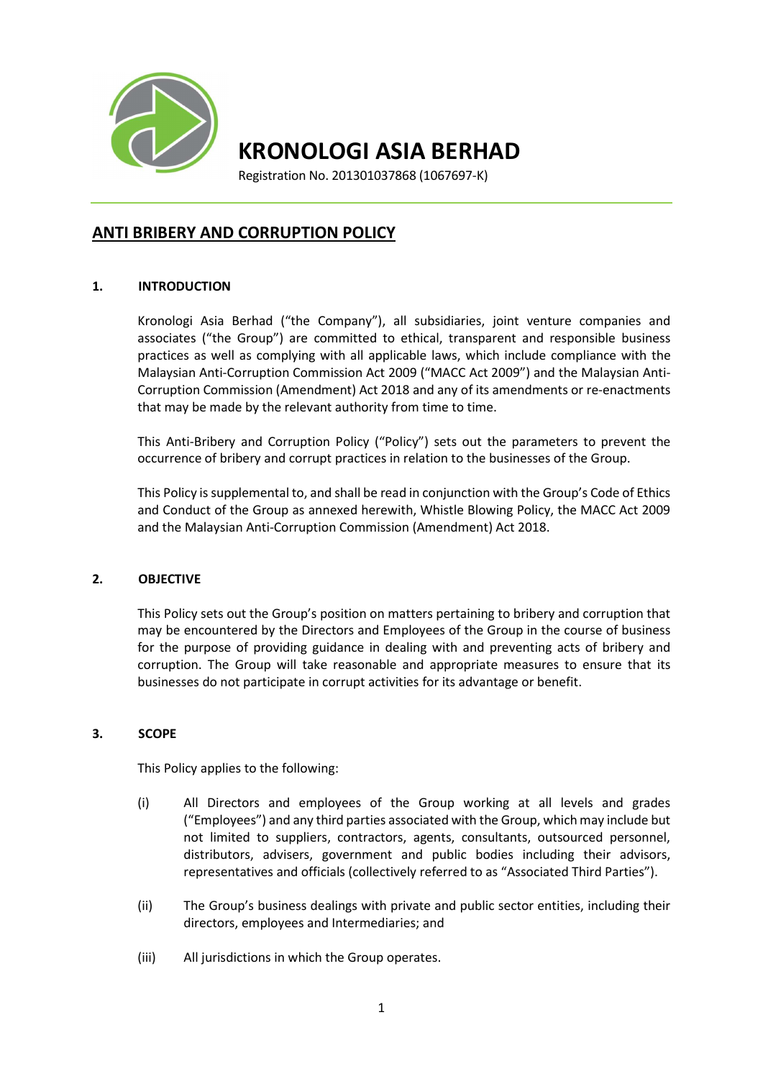

KRONOLOGI ASIA BERHAD

Registration No. 201301037868 (1067697-K)

# ANTI BRIBERY AND CORRUPTION POLICY

# 1. INTRODUCTION

Kronologi Asia Berhad ("the Company"), all subsidiaries, joint venture companies and associates ("the Group") are committed to ethical, transparent and responsible business practices as well as complying with all applicable laws, which include compliance with the Malaysian Anti-Corruption Commission Act 2009 ("MACC Act 2009") and the Malaysian Anti-Corruption Commission (Amendment) Act 2018 and any of its amendments or re-enactments that may be made by the relevant authority from time to time.

This Anti-Bribery and Corruption Policy ("Policy") sets out the parameters to prevent the occurrence of bribery and corrupt practices in relation to the businesses of the Group.

This Policy is supplemental to, and shall be read in conjunction with the Group's Code of Ethics and Conduct of the Group as annexed herewith, Whistle Blowing Policy, the MACC Act 2009 and the Malaysian Anti-Corruption Commission (Amendment) Act 2018.

## 2. OBJECTIVE

This Policy sets out the Group's position on matters pertaining to bribery and corruption that may be encountered by the Directors and Employees of the Group in the course of business for the purpose of providing guidance in dealing with and preventing acts of bribery and corruption. The Group will take reasonable and appropriate measures to ensure that its businesses do not participate in corrupt activities for its advantage or benefit.

## 3. SCOPE

This Policy applies to the following:

- (i) All Directors and employees of the Group working at all levels and grades ("Employees") and any third parties associated with the Group, which may include but not limited to suppliers, contractors, agents, consultants, outsourced personnel, distributors, advisers, government and public bodies including their advisors, representatives and officials (collectively referred to as "Associated Third Parties").
- (ii) The Group's business dealings with private and public sector entities, including their directors, employees and Intermediaries; and
- (iii) All jurisdictions in which the Group operates.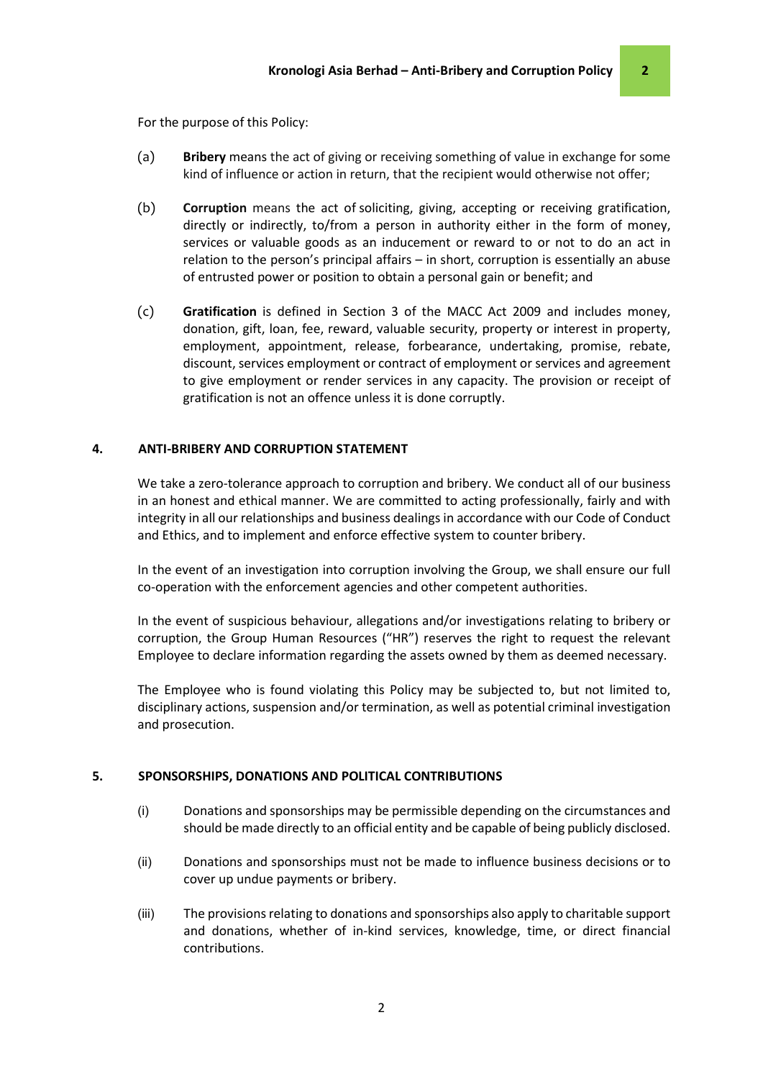For the purpose of this Policy:

- (a) Bribery means the act of giving or receiving something of value in exchange for some kind of influence or action in return, that the recipient would otherwise not offer;
- (b) Corruption means the act of soliciting, giving, accepting or receiving gratification, directly or indirectly, to/from a person in authority either in the form of money, services or valuable goods as an inducement or reward to or not to do an act in relation to the person's principal affairs – in short, corruption is essentially an abuse of entrusted power or position to obtain a personal gain or benefit; and
- (c) Gratification is defined in Section 3 of the MACC Act 2009 and includes money, donation, gift, loan, fee, reward, valuable security, property or interest in property, employment, appointment, release, forbearance, undertaking, promise, rebate, discount, services employment or contract of employment or services and agreement to give employment or render services in any capacity. The provision or receipt of gratification is not an offence unless it is done corruptly.

#### 4. ANTI-BRIBERY AND CORRUPTION STATEMENT

We take a zero-tolerance approach to corruption and bribery. We conduct all of our business in an honest and ethical manner. We are committed to acting professionally, fairly and with integrity in all our relationships and business dealings in accordance with our Code of Conduct and Ethics, and to implement and enforce effective system to counter bribery.

In the event of an investigation into corruption involving the Group, we shall ensure our full co-operation with the enforcement agencies and other competent authorities.

In the event of suspicious behaviour, allegations and/or investigations relating to bribery or corruption, the Group Human Resources ("HR") reserves the right to request the relevant Employee to declare information regarding the assets owned by them as deemed necessary.

The Employee who is found violating this Policy may be subjected to, but not limited to, disciplinary actions, suspension and/or termination, as well as potential criminal investigation and prosecution.

#### 5. SPONSORSHIPS, DONATIONS AND POLITICAL CONTRIBUTIONS

- (i) Donations and sponsorships may be permissible depending on the circumstances and should be made directly to an official entity and be capable of being publicly disclosed.
- (ii) Donations and sponsorships must not be made to influence business decisions or to cover up undue payments or bribery.
- (iii) The provisions relating to donations and sponsorships also apply to charitable support and donations, whether of in-kind services, knowledge, time, or direct financial contributions.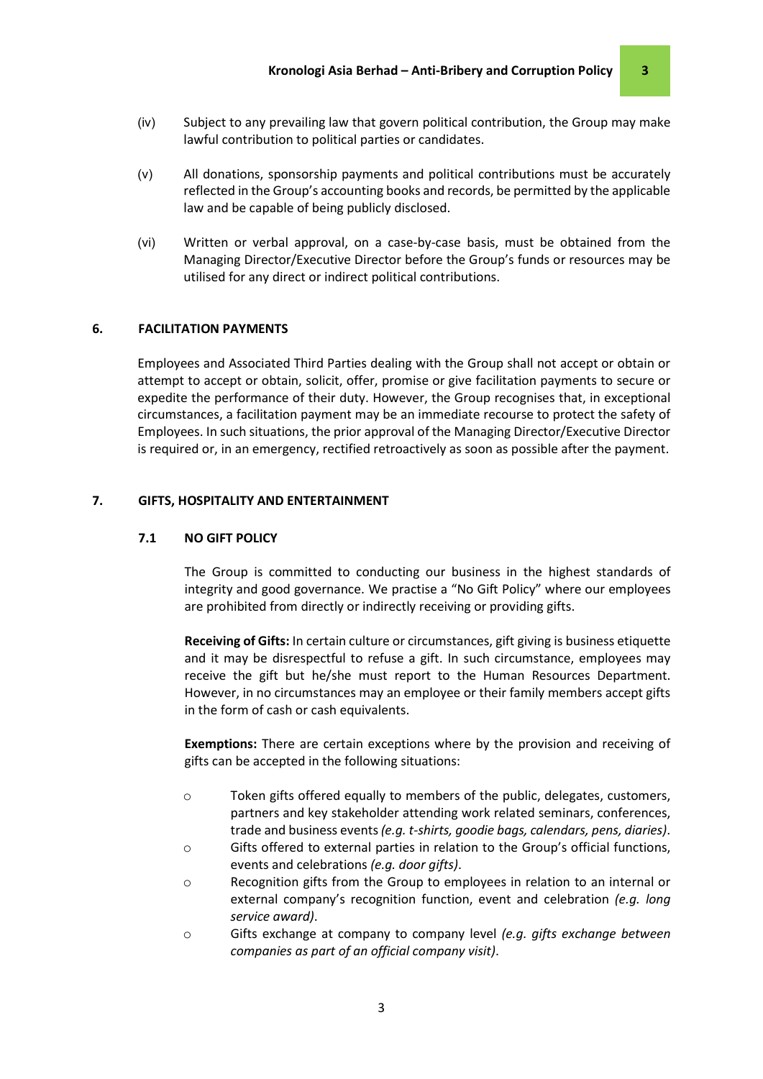- (iv) Subject to any prevailing law that govern political contribution, the Group may make lawful contribution to political parties or candidates.
- (v) All donations, sponsorship payments and political contributions must be accurately reflected in the Group's accounting books and records, be permitted by the applicable law and be capable of being publicly disclosed.
- (vi) Written or verbal approval, on a case-by-case basis, must be obtained from the Managing Director/Executive Director before the Group's funds or resources may be utilised for any direct or indirect political contributions.

### 6. FACILITATION PAYMENTS

Employees and Associated Third Parties dealing with the Group shall not accept or obtain or attempt to accept or obtain, solicit, offer, promise or give facilitation payments to secure or expedite the performance of their duty. However, the Group recognises that, in exceptional circumstances, a facilitation payment may be an immediate recourse to protect the safety of Employees. In such situations, the prior approval of the Managing Director/Executive Director is required or, in an emergency, rectified retroactively as soon as possible after the payment.

# 7. GIFTS, HOSPITALITY AND ENTERTAINMENT

#### 7.1 NO GIFT POLICY

The Group is committed to conducting our business in the highest standards of integrity and good governance. We practise a "No Gift Policy" where our employees are prohibited from directly or indirectly receiving or providing gifts.

Receiving of Gifts: In certain culture or circumstances, gift giving is business etiquette and it may be disrespectful to refuse a gift. In such circumstance, employees may receive the gift but he/she must report to the Human Resources Department. However, in no circumstances may an employee or their family members accept gifts in the form of cash or cash equivalents.

Exemptions: There are certain exceptions where by the provision and receiving of gifts can be accepted in the following situations:

- o Token gifts offered equally to members of the public, delegates, customers, partners and key stakeholder attending work related seminars, conferences, trade and business events (e.g. t-shirts, goodie bags, calendars, pens, diaries).
- o Gifts offered to external parties in relation to the Group's official functions, events and celebrations (e.g. door gifts).
- o Recognition gifts from the Group to employees in relation to an internal or external company's recognition function, event and celebration (e.g. long service award).
- $\circ$  Gifts exchange at company to company level (e.g. gifts exchange between companies as part of an official company visit).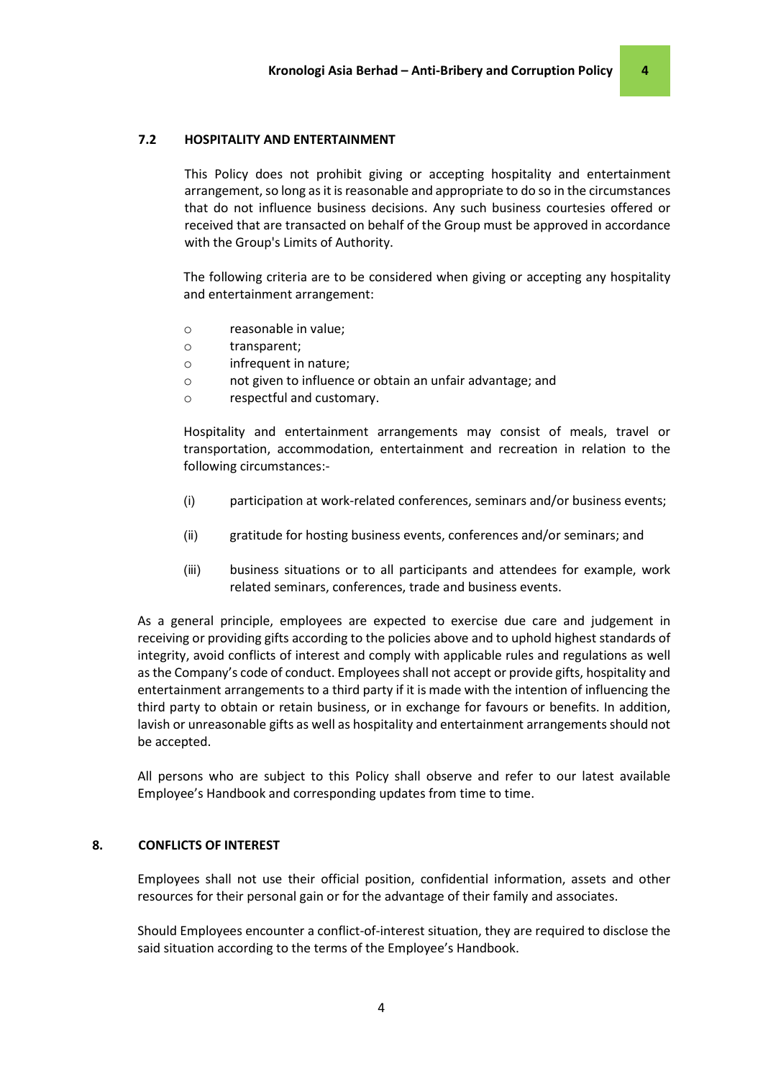## 7.2 HOSPITALITY AND ENTERTAINMENT

This Policy does not prohibit giving or accepting hospitality and entertainment arrangement, so long as it is reasonable and appropriate to do so in the circumstances that do not influence business decisions. Any such business courtesies offered or received that are transacted on behalf of the Group must be approved in accordance with the Group's Limits of Authority.

The following criteria are to be considered when giving or accepting any hospitality and entertainment arrangement:

- o reasonable in value;
- o transparent;
- o infrequent in nature;
- o not given to influence or obtain an unfair advantage; and
- o respectful and customary.

Hospitality and entertainment arrangements may consist of meals, travel or transportation, accommodation, entertainment and recreation in relation to the following circumstances:-

- (i) participation at work-related conferences, seminars and/or business events;
- (ii) gratitude for hosting business events, conferences and/or seminars; and
- (iii) business situations or to all participants and attendees for example, work related seminars, conferences, trade and business events.

As a general principle, employees are expected to exercise due care and judgement in receiving or providing gifts according to the policies above and to uphold highest standards of integrity, avoid conflicts of interest and comply with applicable rules and regulations as well as the Company's code of conduct. Employees shall not accept or provide gifts, hospitality and entertainment arrangements to a third party if it is made with the intention of influencing the third party to obtain or retain business, or in exchange for favours or benefits. In addition, lavish or unreasonable gifts as well as hospitality and entertainment arrangements should not be accepted.

All persons who are subject to this Policy shall observe and refer to our latest available Employee's Handbook and corresponding updates from time to time.

#### 8. CONFLICTS OF INTEREST

Employees shall not use their official position, confidential information, assets and other resources for their personal gain or for the advantage of their family and associates.

Should Employees encounter a conflict-of-interest situation, they are required to disclose the said situation according to the terms of the Employee's Handbook.

4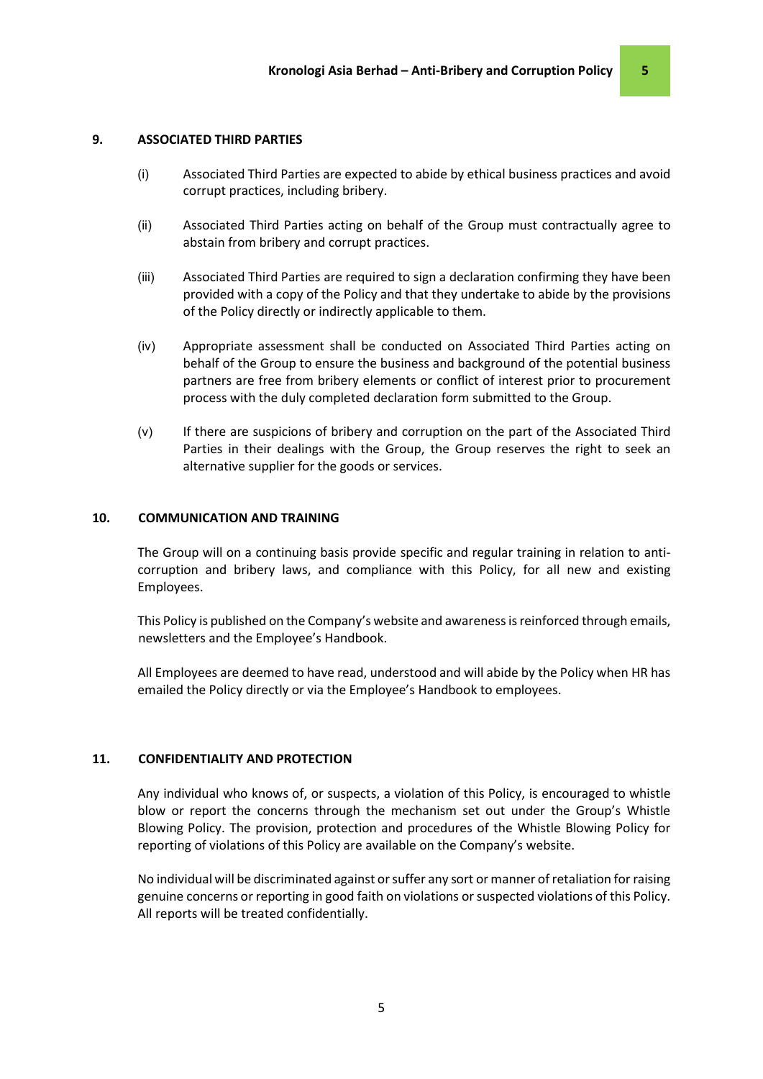#### 9. ASSOCIATED THIRD PARTIES

- (i) Associated Third Parties are expected to abide by ethical business practices and avoid corrupt practices, including bribery.
- (ii) Associated Third Parties acting on behalf of the Group must contractually agree to abstain from bribery and corrupt practices.
- (iii) Associated Third Parties are required to sign a declaration confirming they have been provided with a copy of the Policy and that they undertake to abide by the provisions of the Policy directly or indirectly applicable to them.
- (iv) Appropriate assessment shall be conducted on Associated Third Parties acting on behalf of the Group to ensure the business and background of the potential business partners are free from bribery elements or conflict of interest prior to procurement process with the duly completed declaration form submitted to the Group.
- (v) If there are suspicions of bribery and corruption on the part of the Associated Third Parties in their dealings with the Group, the Group reserves the right to seek an alternative supplier for the goods or services.

#### 10. COMMUNICATION AND TRAINING

The Group will on a continuing basis provide specific and regular training in relation to anticorruption and bribery laws, and compliance with this Policy, for all new and existing Employees.

This Policy is published on the Company's website and awareness is reinforced through emails, newsletters and the Employee's Handbook.

All Employees are deemed to have read, understood and will abide by the Policy when HR has emailed the Policy directly or via the Employee's Handbook to employees.

#### 11. CONFIDENTIALITY AND PROTECTION

Any individual who knows of, or suspects, a violation of this Policy, is encouraged to whistle blow or report the concerns through the mechanism set out under the Group's Whistle Blowing Policy. The provision, protection and procedures of the Whistle Blowing Policy for reporting of violations of this Policy are available on the Company's website.

No individual will be discriminated against or suffer any sort or manner of retaliation for raising genuine concerns or reporting in good faith on violations or suspected violations of this Policy. All reports will be treated confidentially.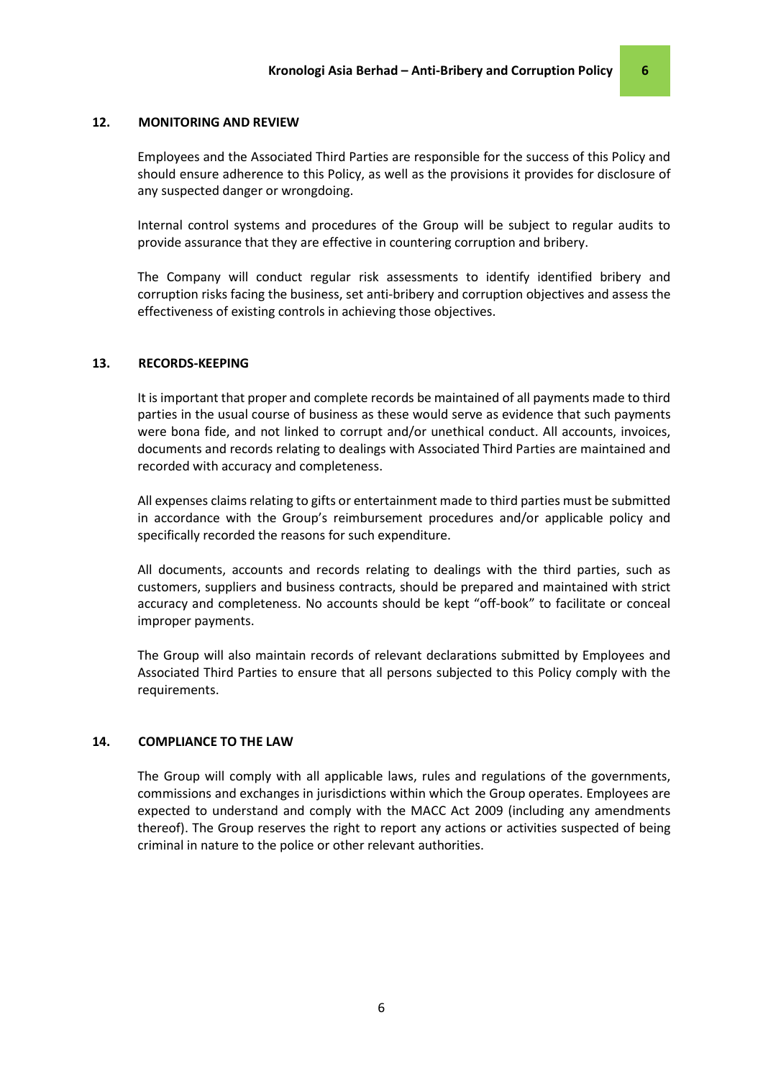#### 12. MONITORING AND REVIEW

Employees and the Associated Third Parties are responsible for the success of this Policy and should ensure adherence to this Policy, as well as the provisions it provides for disclosure of any suspected danger or wrongdoing.

Internal control systems and procedures of the Group will be subject to regular audits to provide assurance that they are effective in countering corruption and bribery.

The Company will conduct regular risk assessments to identify identified bribery and corruption risks facing the business, set anti-bribery and corruption objectives and assess the effectiveness of existing controls in achieving those objectives.

#### 13. RECORDS-KEEPING

It is important that proper and complete records be maintained of all payments made to third parties in the usual course of business as these would serve as evidence that such payments were bona fide, and not linked to corrupt and/or unethical conduct. All accounts, invoices, documents and records relating to dealings with Associated Third Parties are maintained and recorded with accuracy and completeness.

All expenses claims relating to gifts or entertainment made to third parties must be submitted in accordance with the Group's reimbursement procedures and/or applicable policy and specifically recorded the reasons for such expenditure.

All documents, accounts and records relating to dealings with the third parties, such as customers, suppliers and business contracts, should be prepared and maintained with strict accuracy and completeness. No accounts should be kept "off-book" to facilitate or conceal improper payments.

The Group will also maintain records of relevant declarations submitted by Employees and Associated Third Parties to ensure that all persons subjected to this Policy comply with the requirements.

#### 14. COMPLIANCE TO THE LAW

The Group will comply with all applicable laws, rules and regulations of the governments, commissions and exchanges in jurisdictions within which the Group operates. Employees are expected to understand and comply with the MACC Act 2009 (including any amendments thereof). The Group reserves the right to report any actions or activities suspected of being criminal in nature to the police or other relevant authorities.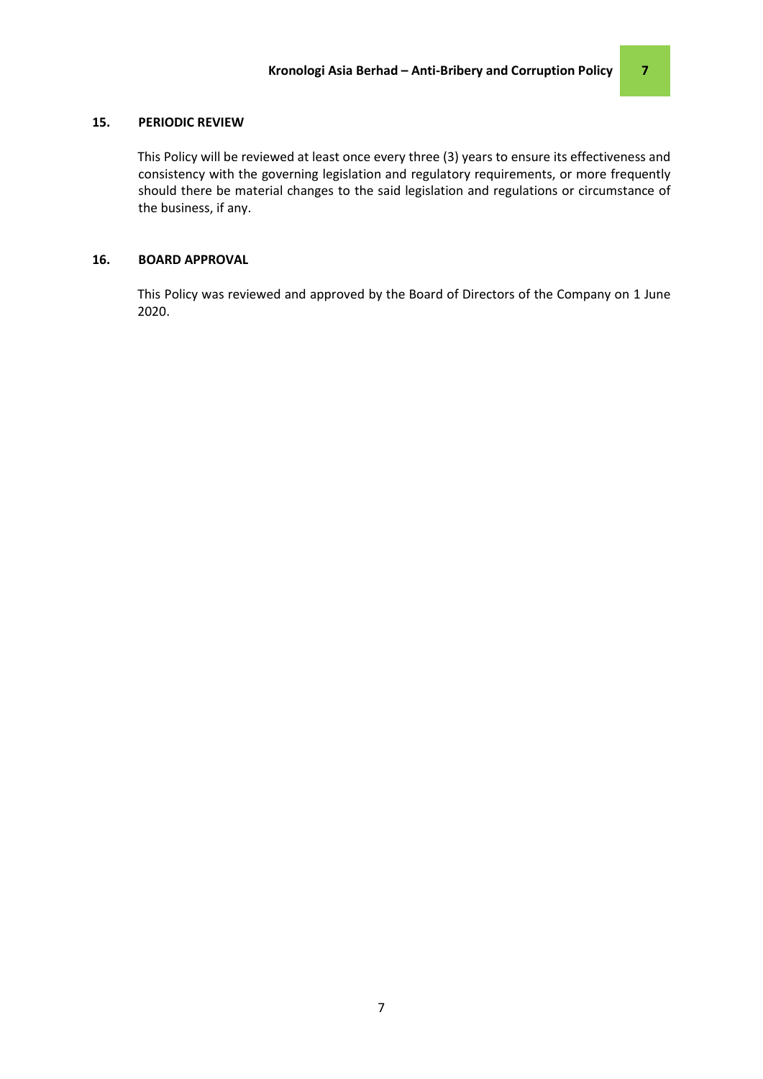## 15. PERIODIC REVIEW

This Policy will be reviewed at least once every three (3) years to ensure its effectiveness and consistency with the governing legislation and regulatory requirements, or more frequently should there be material changes to the said legislation and regulations or circumstance of the business, if any.

#### 16. BOARD APPROVAL

This Policy was reviewed and approved by the Board of Directors of the Company on 1 June 2020.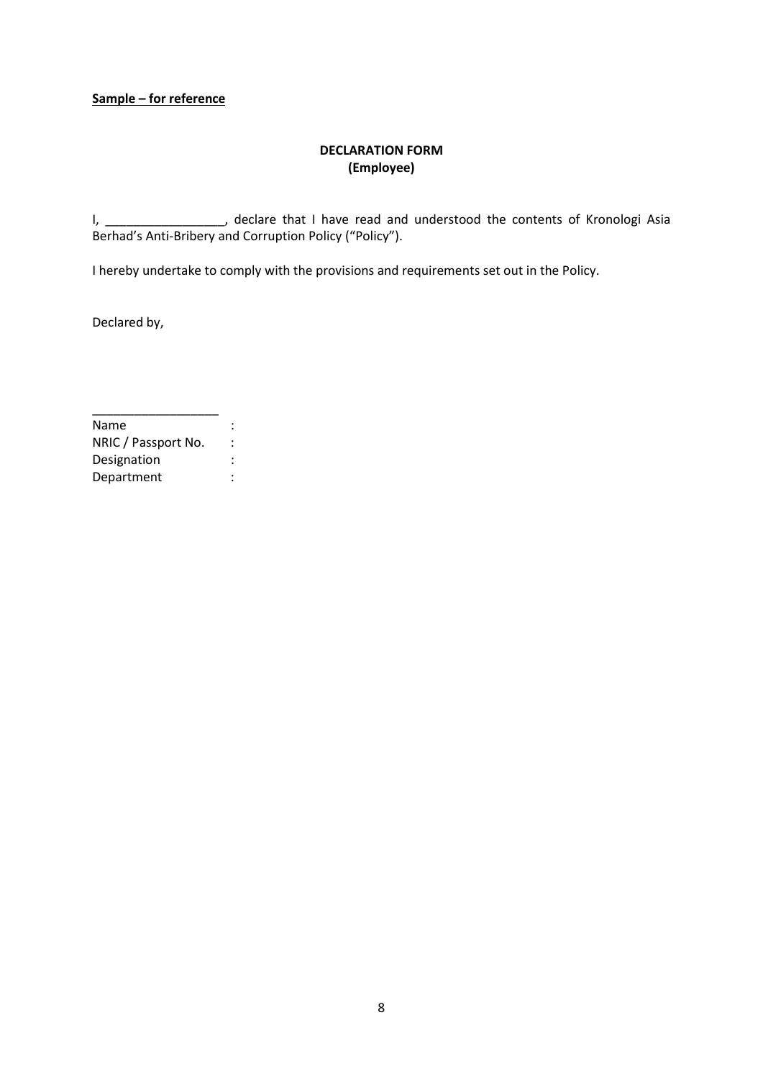# Sample – for reference

# DECLARATION FORM (Employee)

I, \_\_\_\_\_\_\_\_\_\_\_\_\_\_\_\_\_, declare that I have read and understood the contents of Kronologi Asia Berhad's Anti-Bribery and Corruption Policy ("Policy").

I hereby undertake to comply with the provisions and requirements set out in the Policy.

Declared by,

| Name                |  |
|---------------------|--|
| NRIC / Passport No. |  |
| Designation         |  |
| Department          |  |

\_\_\_\_\_\_\_\_\_\_\_\_\_\_\_\_\_\_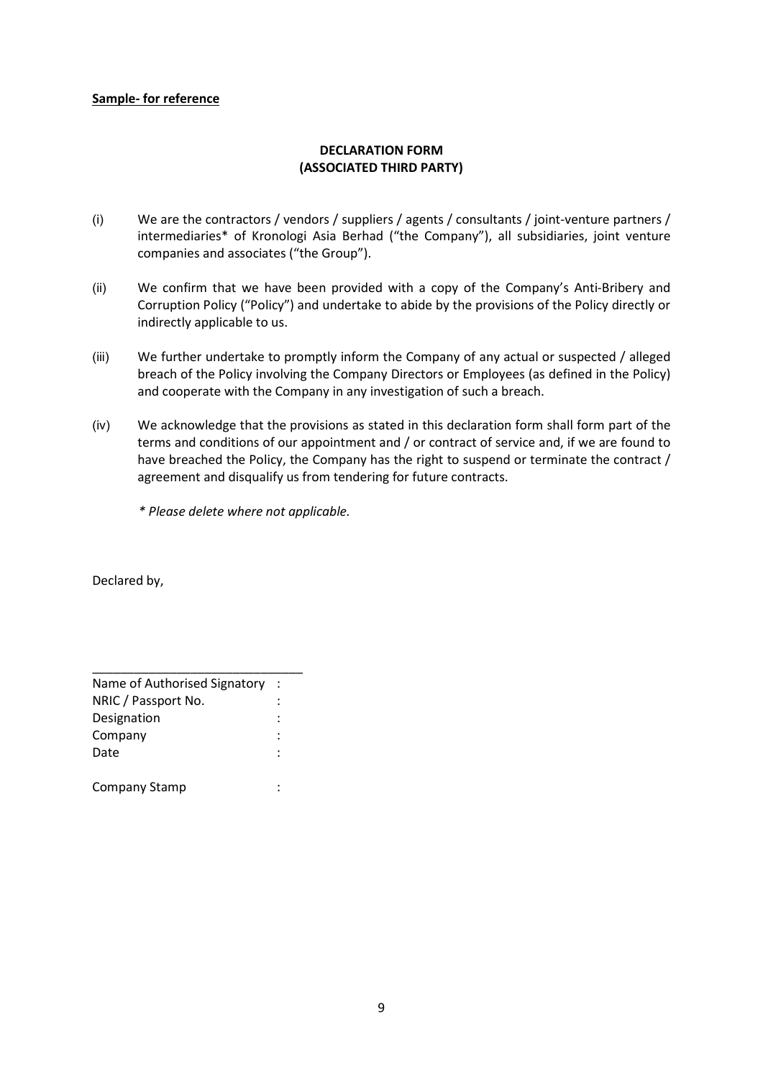# Sample- for reference

# DECLARATION FORM (ASSOCIATED THIRD PARTY)

- (i) We are the contractors / vendors / suppliers / agents / consultants / joint-venture partners / intermediaries\* of Kronologi Asia Berhad ("the Company"), all subsidiaries, joint venture companies and associates ("the Group").
- (ii) We confirm that we have been provided with a copy of the Company's Anti-Bribery and Corruption Policy ("Policy") and undertake to abide by the provisions of the Policy directly or indirectly applicable to us.
- (iii) We further undertake to promptly inform the Company of any actual or suspected / alleged breach of the Policy involving the Company Directors or Employees (as defined in the Policy) and cooperate with the Company in any investigation of such a breach.
- (iv) We acknowledge that the provisions as stated in this declaration form shall form part of the terms and conditions of our appointment and / or contract of service and, if we are found to have breached the Policy, the Company has the right to suspend or terminate the contract / agreement and disqualify us from tendering for future contracts.

\* Please delete where not applicable.

Declared by,

| Name of Authorised Signatory |  |
|------------------------------|--|
| NRIC / Passport No.          |  |
| Designation                  |  |
| Company                      |  |
| Date                         |  |
|                              |  |
| Company Stamp                |  |

\_\_\_\_\_\_\_\_\_\_\_\_\_\_\_\_\_\_\_\_\_\_\_\_\_\_\_\_\_\_